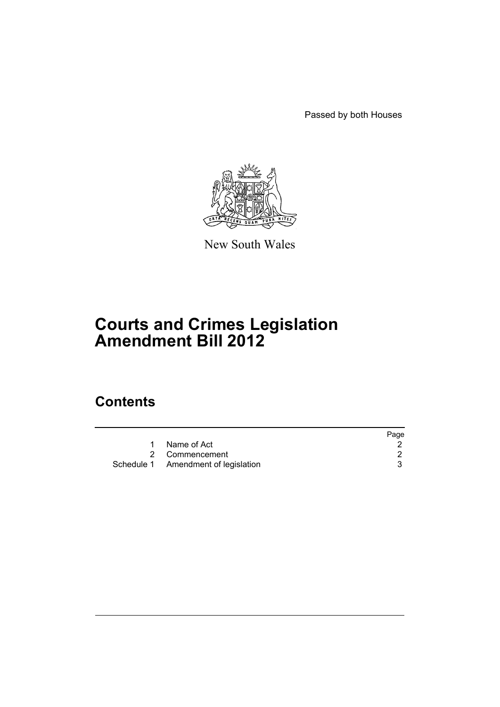Passed by both Houses



New South Wales

# **Courts and Crimes Legislation Amendment Bill 2012**

# **Contents**

|                                     | Page |
|-------------------------------------|------|
| Name of Act                         |      |
| 2 Commencement                      |      |
| Schedule 1 Amendment of legislation |      |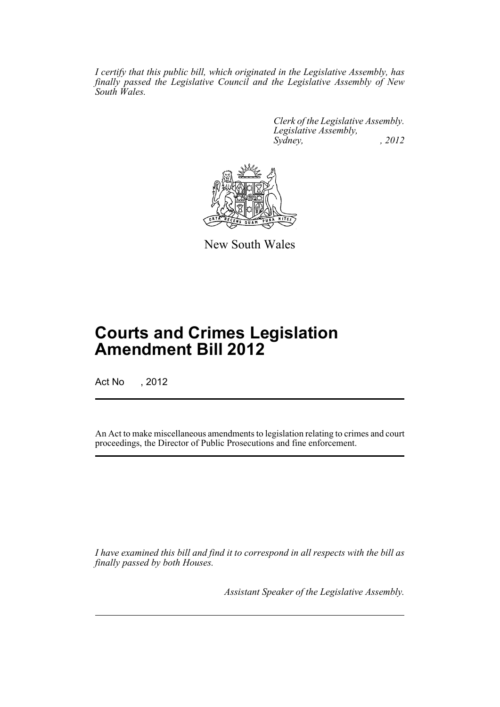*I certify that this public bill, which originated in the Legislative Assembly, has finally passed the Legislative Council and the Legislative Assembly of New South Wales.*

> *Clerk of the Legislative Assembly. Legislative Assembly, Sydney, , 2012*



New South Wales

# **Courts and Crimes Legislation Amendment Bill 2012**

Act No , 2012

An Act to make miscellaneous amendments to legislation relating to crimes and court proceedings, the Director of Public Prosecutions and fine enforcement.

*I have examined this bill and find it to correspond in all respects with the bill as finally passed by both Houses.*

*Assistant Speaker of the Legislative Assembly.*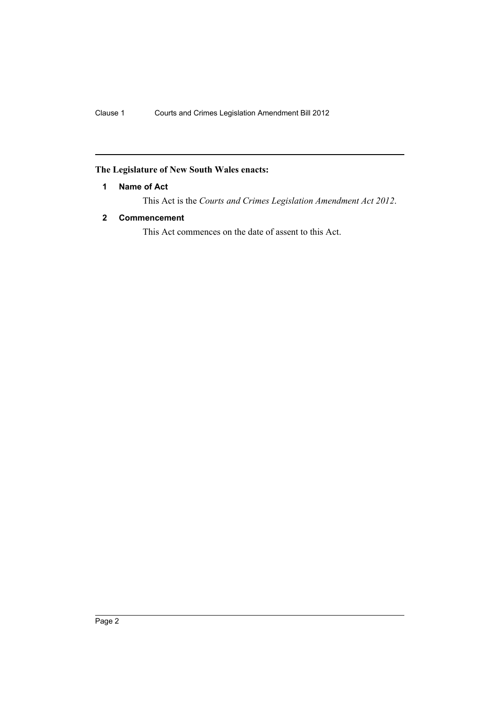# <span id="page-3-0"></span>**The Legislature of New South Wales enacts:**

# **1 Name of Act**

This Act is the *Courts and Crimes Legislation Amendment Act 2012*.

# <span id="page-3-1"></span>**2 Commencement**

This Act commences on the date of assent to this Act.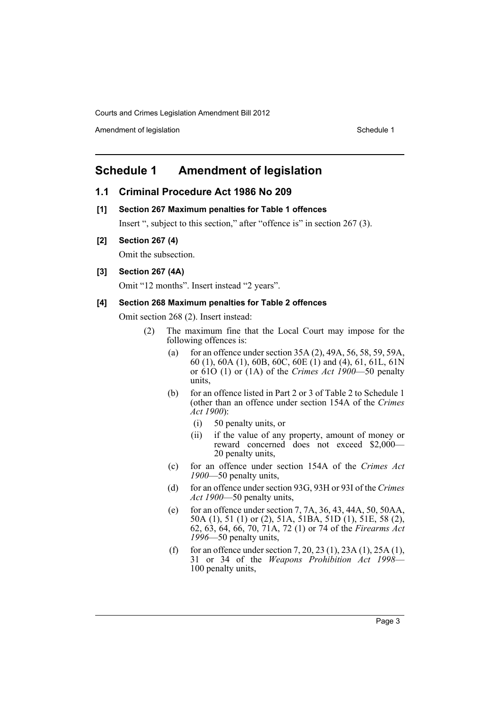Amendment of legislation Schedule 1

# <span id="page-4-0"></span>**Schedule 1 Amendment of legislation**

# **1.1 Criminal Procedure Act 1986 No 209**

**[1] Section 267 Maximum penalties for Table 1 offences**

Insert ", subject to this section," after "offence is" in section 267 (3).

**[2] Section 267 (4)**

Omit the subsection.

#### **[3] Section 267 (4A)**

Omit "12 months". Insert instead "2 years".

#### **[4] Section 268 Maximum penalties for Table 2 offences**

Omit section 268 (2). Insert instead:

- (2) The maximum fine that the Local Court may impose for the following offences is:
	- (a) for an offence under section  $35A(2)$ ,  $49A$ ,  $56$ ,  $58$ ,  $59$ ,  $59A$ , 60 (1), 60A (1), 60B, 60C, 60E (1) and (4), 61, 61L, 61N or 61O (1) or (1A) of the *Crimes Act 1900*—50 penalty units,
	- (b) for an offence listed in Part 2 or 3 of Table 2 to Schedule 1 (other than an offence under section 154A of the *Crimes Act 1900*):
		- (i) 50 penalty units, or
		- (ii) if the value of any property, amount of money or reward concerned does not exceed \$2,000— 20 penalty units,
	- (c) for an offence under section 154A of the *Crimes Act 1900*—50 penalty units,
	- (d) for an offence under section 93G, 93H or 93I of the *Crimes Act 1900*—50 penalty units,
	- (e) for an offence under section 7, 7A, 36, 43, 44A, 50, 50AA, 50A (1), 51 (1) or (2), 51A, 51BA, 51D (1), 51E, 58 (2), 62, 63, 64, 66, 70, 71A, 72 (1) or 74 of the *Firearms Act 1996*—50 penalty units,
	- (f) for an offence under section 7, 20, 23 (1), 23A (1), 25A (1), 31 or 34 of the *Weapons Prohibition Act 1998*— 100 penalty units,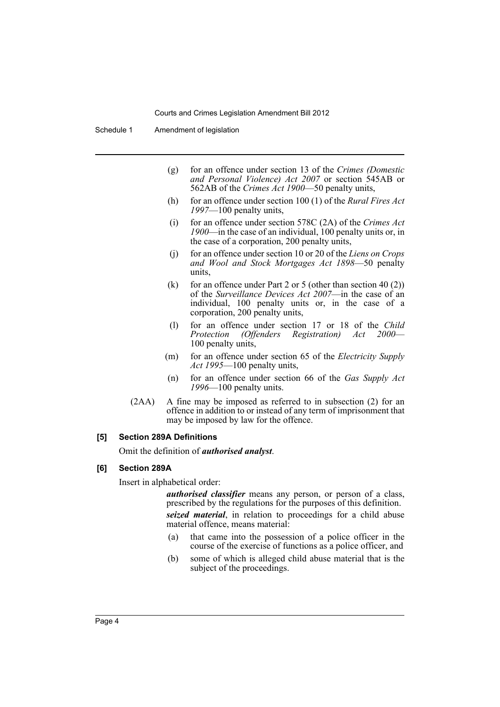Schedule 1 Amendment of legislation

- (g) for an offence under section 13 of the *Crimes (Domestic and Personal Violence) Act 2007* or section 545AB or 562AB of the *Crimes Act 1900*—50 penalty units,
- (h) for an offence under section 100 (1) of the *Rural Fires Act 1997*—100 penalty units,
- (i) for an offence under section 578C (2A) of the *Crimes Act 1900*—in the case of an individual, 100 penalty units or, in the case of a corporation, 200 penalty units,
- (j) for an offence under section 10 or 20 of the *Liens on Crops and Wool and Stock Mortgages Act 1898*—50 penalty units,
- (k) for an offence under Part 2 or 5 (other than section 40 (2)) of the *Surveillance Devices Act 2007*—in the case of an individual, 100 penalty units or, in the case of a corporation, 200 penalty units,
- (l) for an offence under section 17 or 18 of the *Child (Offenders Registration) Act* 100 penalty units,
- (m) for an offence under section 65 of the *Electricity Supply Act 1995*—100 penalty units,
- (n) for an offence under section 66 of the *Gas Supply Act 1996*—100 penalty units.
- (2AA) A fine may be imposed as referred to in subsection (2) for an offence in addition to or instead of any term of imprisonment that may be imposed by law for the offence.

#### **[5] Section 289A Definitions**

Omit the definition of *authorised analyst*.

#### **[6] Section 289A**

Insert in alphabetical order:

*authorised classifier* means any person, or person of a class, prescribed by the regulations for the purposes of this definition.

*seized material*, in relation to proceedings for a child abuse material offence, means material:

- (a) that came into the possession of a police officer in the course of the exercise of functions as a police officer, and
- (b) some of which is alleged child abuse material that is the subject of the proceedings.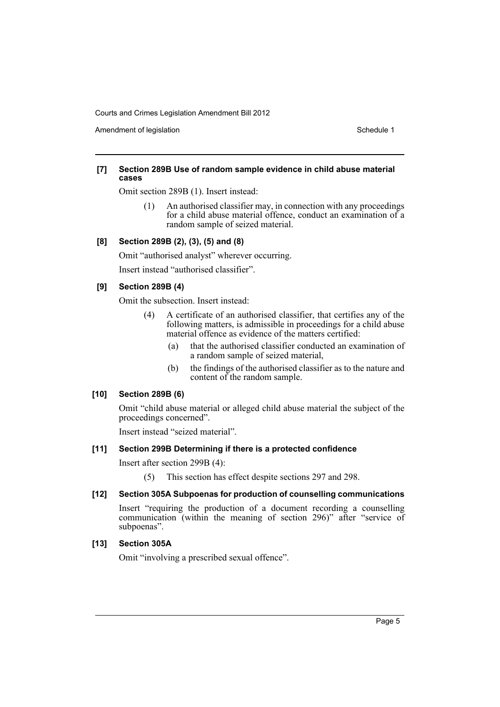Amendment of legislation New York 1999 and the Schedule 1 Amendment of legislation Schedule 1

#### **[7] Section 289B Use of random sample evidence in child abuse material cases**

Omit section 289B (1). Insert instead:

(1) An authorised classifier may, in connection with any proceedings for a child abuse material offence, conduct an examination of a random sample of seized material.

#### **[8] Section 289B (2), (3), (5) and (8)**

Omit "authorised analyst" wherever occurring.

Insert instead "authorised classifier".

#### **[9] Section 289B (4)**

Omit the subsection. Insert instead:

- (4) A certificate of an authorised classifier, that certifies any of the following matters, is admissible in proceedings for a child abuse material offence as evidence of the matters certified:
	- (a) that the authorised classifier conducted an examination of a random sample of seized material,
	- (b) the findings of the authorised classifier as to the nature and content of the random sample.

#### **[10] Section 289B (6)**

Omit "child abuse material or alleged child abuse material the subject of the proceedings concerned".

Insert instead "seized material".

#### **[11] Section 299B Determining if there is a protected confidence**

Insert after section 299B (4):

(5) This section has effect despite sections 297 and 298.

## **[12] Section 305A Subpoenas for production of counselling communications**

Insert "requiring the production of a document recording a counselling communication (within the meaning of section 296)" after "service of subpoenas".

#### **[13] Section 305A**

Omit "involving a prescribed sexual offence".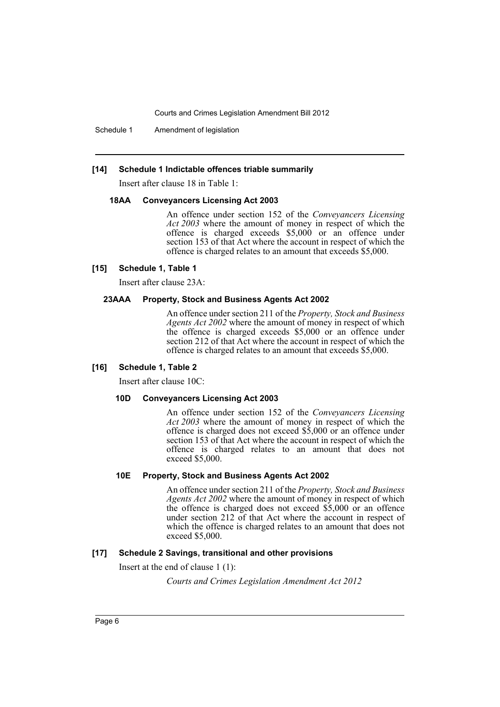Schedule 1 Amendment of legislation

#### **[14] Schedule 1 Indictable offences triable summarily**

Insert after clause 18 in Table 1:

#### **18AA Conveyancers Licensing Act 2003**

An offence under section 152 of the *Conveyancers Licensing Act 2003* where the amount of money in respect of which the offence is charged exceeds \$5,000 or an offence under section 153 of that Act where the account in respect of which the offence is charged relates to an amount that exceeds \$5,000.

#### **[15] Schedule 1, Table 1**

Insert after clause 23A:

#### **23AAA Property, Stock and Business Agents Act 2002**

An offence under section 211 of the *Property, Stock and Business Agents Act 2002* where the amount of money in respect of which the offence is charged exceeds \$5,000 or an offence under section 212 of that Act where the account in respect of which the offence is charged relates to an amount that exceeds \$5,000.

#### **[16] Schedule 1, Table 2**

Insert after clause 10C:

#### **10D Conveyancers Licensing Act 2003**

An offence under section 152 of the *Conveyancers Licensing Act 2003* where the amount of money in respect of which the offence is charged does not exceed \$5,000 or an offence under section 153 of that Act where the account in respect of which the offence is charged relates to an amount that does not exceed \$5,000.

## **10E Property, Stock and Business Agents Act 2002**

An offence under section 211 of the *Property, Stock and Business Agents Act 2002* where the amount of money in respect of which the offence is charged does not exceed \$5,000 or an offence under section 212 of that Act where the account in respect of which the offence is charged relates to an amount that does not exceed \$5,000.

#### **[17] Schedule 2 Savings, transitional and other provisions**

Insert at the end of clause 1 (1):

*Courts and Crimes Legislation Amendment Act 2012*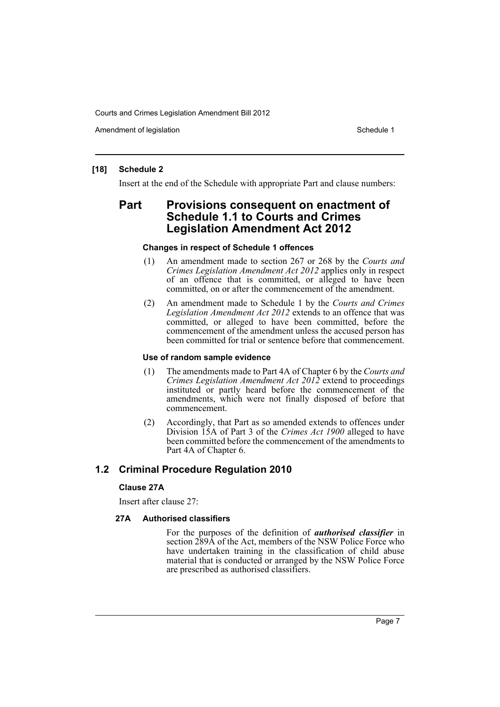Amendment of legislation New York 1999 and the Schedule 1 Amendment of legislation Schedule 1

## **[18] Schedule 2**

Insert at the end of the Schedule with appropriate Part and clause numbers:

# **Part Provisions consequent on enactment of Schedule 1.1 to Courts and Crimes Legislation Amendment Act 2012**

#### **Changes in respect of Schedule 1 offences**

- (1) An amendment made to section 267 or 268 by the *Courts and Crimes Legislation Amendment Act 2012* applies only in respect of an offence that is committed, or alleged to have been committed, on or after the commencement of the amendment.
- (2) An amendment made to Schedule 1 by the *Courts and Crimes Legislation Amendment Act 2012* extends to an offence that was committed, or alleged to have been committed, before the commencement of the amendment unless the accused person has been committed for trial or sentence before that commencement.

#### **Use of random sample evidence**

- (1) The amendments made to Part 4A of Chapter 6 by the *Courts and Crimes Legislation Amendment Act 2012* extend to proceedings instituted or partly heard before the commencement of the amendments, which were not finally disposed of before that commencement.
- (2) Accordingly, that Part as so amended extends to offences under Division 15A of Part 3 of the *Crimes Act 1900* alleged to have been committed before the commencement of the amendments to Part 4A of Chapter 6.

# **1.2 Criminal Procedure Regulation 2010**

## **Clause 27A**

Insert after clause 27:

## **27A Authorised classifiers**

For the purposes of the definition of *authorised classifier* in section 289A of the Act, members of the NSW Police Force who have undertaken training in the classification of child abuse material that is conducted or arranged by the NSW Police Force are prescribed as authorised classifiers.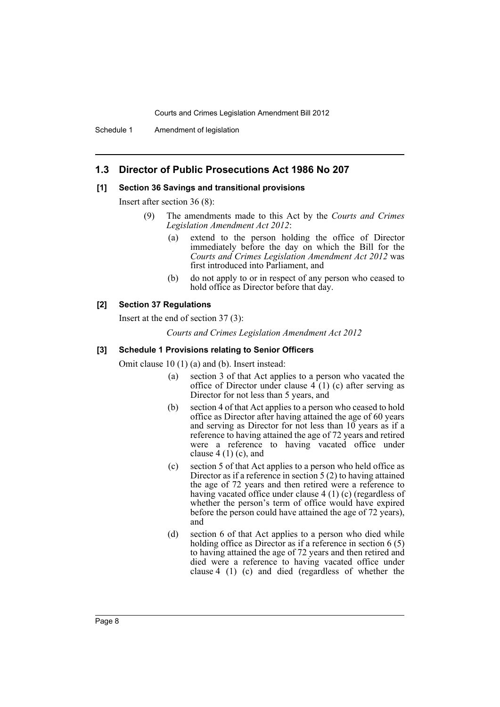Schedule 1 Amendment of legislation

# **1.3 Director of Public Prosecutions Act 1986 No 207**

#### **[1] Section 36 Savings and transitional provisions**

Insert after section 36 (8):

- (9) The amendments made to this Act by the *Courts and Crimes Legislation Amendment Act 2012*:
	- (a) extend to the person holding the office of Director immediately before the day on which the Bill for the *Courts and Crimes Legislation Amendment Act 2012* was first introduced into Parliament, and
	- (b) do not apply to or in respect of any person who ceased to hold office as Director before that day.

# **[2] Section 37 Regulations**

Insert at the end of section 37 (3):

*Courts and Crimes Legislation Amendment Act 2012*

#### **[3] Schedule 1 Provisions relating to Senior Officers**

Omit clause 10 (1) (a) and (b). Insert instead:

- (a) section 3 of that Act applies to a person who vacated the office of Director under clause  $4(1)(c)$  after serving as Director for not less than 5 years, and
- (b) section 4 of that Act applies to a person who ceased to hold office as Director after having attained the age of 60 years and serving as Director for not less than  $10$  years as if a reference to having attained the age of 72 years and retired were a reference to having vacated office under clause  $4(1)(c)$ , and
- (c) section 5 of that Act applies to a person who held office as Director as if a reference in section 5 (2) to having attained the age of 72 years and then retired were a reference to having vacated office under clause 4 (1) (c) (regardless of whether the person's term of office would have expired before the person could have attained the age of 72 years), and
- (d) section 6 of that Act applies to a person who died while holding office as Director as if a reference in section 6 (5) to having attained the age of 72 years and then retired and died were a reference to having vacated office under clause 4 (1) (c) and died (regardless of whether the